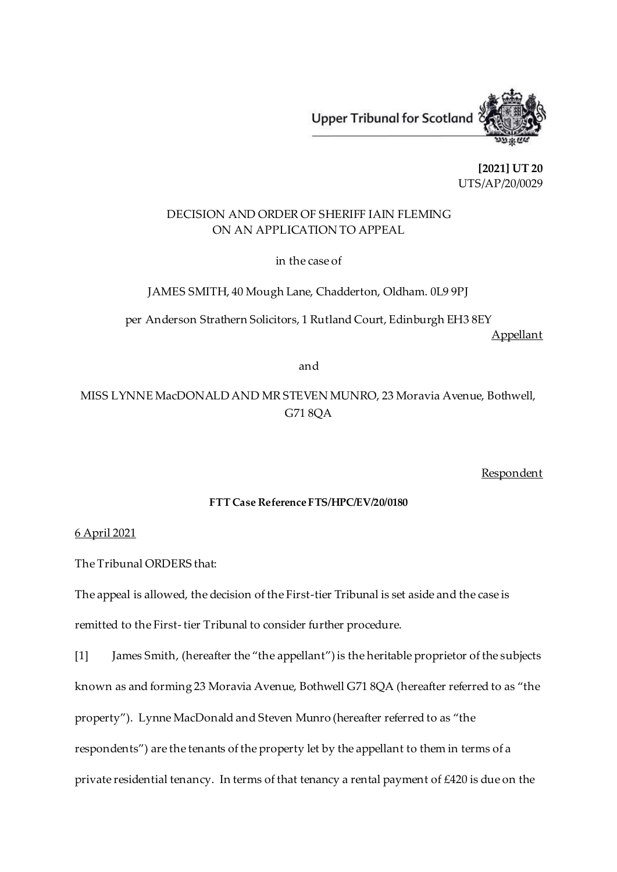

**[2021] UT 20** UTS/AP/20/0029

# DECISION AND ORDER OF SHERIFF IAIN FLEMING ON AN APPLICATION TO APPEAL

in the case of

JAMES SMITH, 40 Mough Lane, Chadderton, Oldham. 0L9 9PJ

per Anderson Strathern Solicitors, 1 Rutland Court, Edinburgh EH3 8EY Appellant

and

MISS LYNNE MacDONALD AND MR STEVEN MUNRO, 23 Moravia Avenue, Bothwell, G71 8QA

Respondent

### **FTT Case Reference FTS/HPC/EV/20/0180**

#### 6 April 2021

The Tribunal ORDERS that:

The appeal is allowed, the decision of the First-tier Tribunal is set aside and the case is remitted to the First- tier Tribunal to consider further procedure.

[1] James Smith, (hereafter the "the appellant") is the heritable proprietor of the subjects known as and forming 23 Moravia Avenue, Bothwell G71 8QA (hereafter referred to as "the property"). Lynne MacDonald and Steven Munro (hereafter referred to as "the respondents") are the tenants of the property let by the appellant to them in terms of a private residential tenancy. In terms of that tenancy a rental payment of £420 is due on the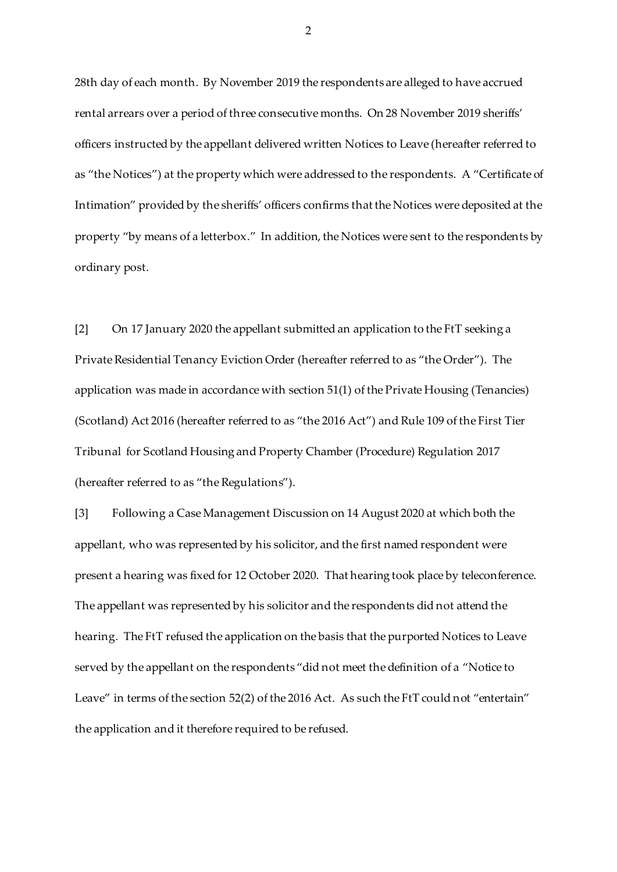28th day of each month. By November 2019 the respondents are alleged to have accrued rental arrears over a period of three consecutive months. On 28 November 2019 sheriffs' officers instructed by the appellant delivered written Notices to Leave (hereafter referred to as "the Notices") at the property which were addressed to the respondents. A "Certificate of Intimation" provided by the sheriffs' officers confirms that the Notices were deposited at the property "by means of a letterbox." In addition, the Notices were sent to the respondents by ordinary post.

[2] On 17 January 2020 the appellant submitted an application to the FtT seeking a Private Residential Tenancy Eviction Order (hereafter referred to as "the Order"). The application was made in accordance with section 51(1) of the Private Housing (Tenancies) (Scotland) Act 2016 (hereafter referred to as "the 2016 Act") and Rule 109 of the First Tier Tribunal for Scotland Housing and Property Chamber (Procedure) Regulation 2017 (hereafter referred to as "the Regulations").

[3] Following a Case Management Discussion on 14 August 2020 at which both the appellant, who was represented by his solicitor, and the first named respondent were present a hearing was fixed for 12 October 2020. That hearing took place by teleconference. The appellant was represented by his solicitor and the respondents did not attend the hearing. The FtT refused the application on the basis that the purported Notices to Leave served by the appellant on the respondents "did not meet the definition of a "Notice to Leave" in terms of the section 52(2) of the 2016 Act. As such the FtT could not "entertain" the application and it therefore required to be refused.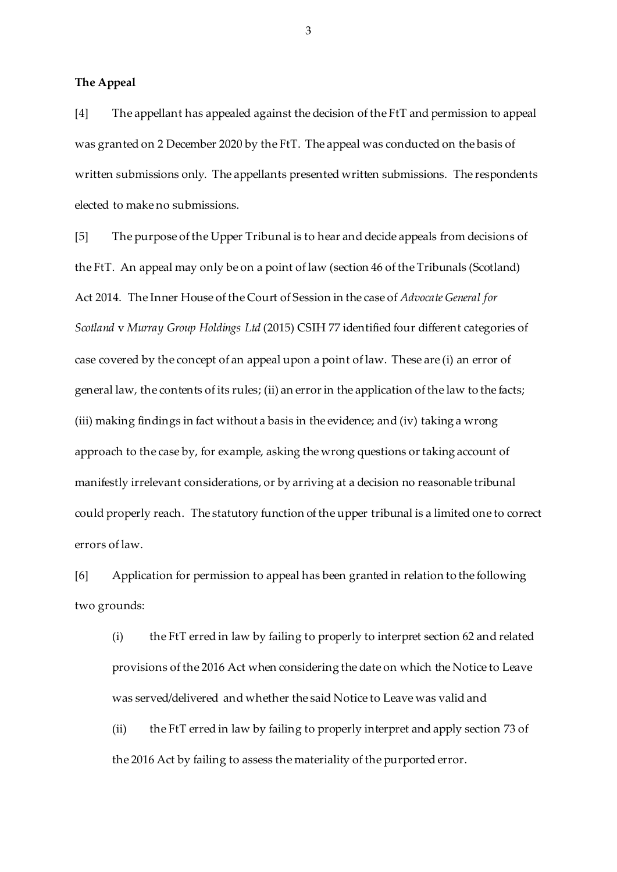**The Appeal**

[4] The appellant has appealed against the decision of the FtT and permission to appeal was granted on 2 December 2020 by the FtT. The appeal was conducted on the basis of written submissions only. The appellants presented written submissions. The respondents elected to make no submissions.

[5] The purpose of the Upper Tribunal is to hear and decide appeals from decisions of the FtT. An appeal may only be on a point of law (section 46 of the Tribunals (Scotland) Act 2014. The Inner House of the Court of Session in the case of *Advocate General for Scotland* v *Murray Group Holdings Ltd* (2015) CSIH 77 identified four different categories of case covered by the concept of an appeal upon a point of law. These are (i) an error of general law, the contents of its rules; (ii) an error in the application of the law to the facts; (iii) making findings in fact without a basis in the evidence; and (iv) taking a wrong approach to the case by, for example, asking the wrong questions or taking account of manifestly irrelevant considerations, or by arriving at a decision no reasonable tribunal could properly reach. The statutory function of the upper tribunal is a limited one to correct errors of law.

[6] Application for permission to appeal has been granted in relation to the following two grounds:

(i) the FtT erred in law by failing to properly to interpret section 62 and related provisions of the 2016 Act when considering the date on which the Notice to Leave was served/delivered and whether the said Notice to Leave was valid and

(ii) the FtT erred in law by failing to properly interpret and apply section 73 of the 2016 Act by failing to assess the materiality of the purported error.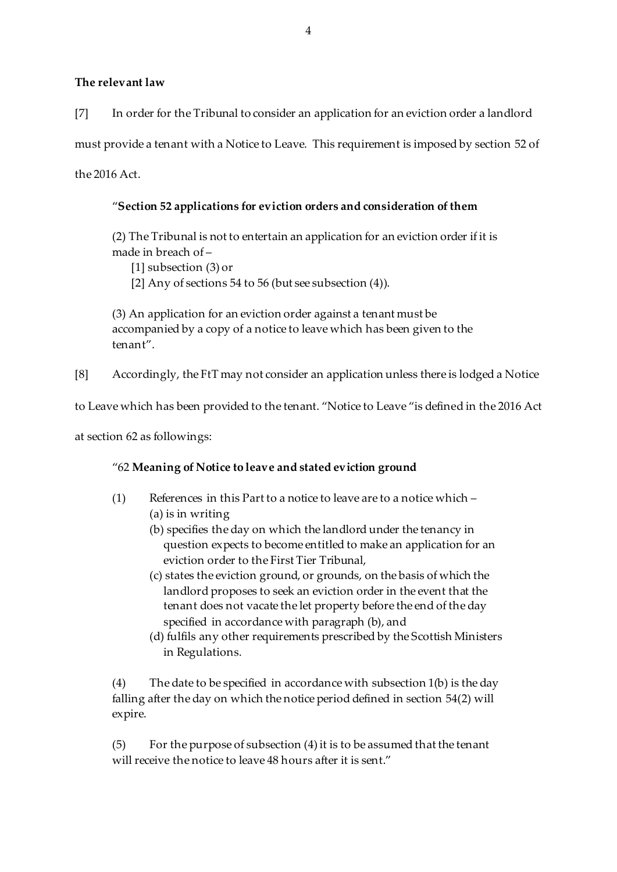#### **The relevant law**

[7] In order for the Tribunal to consider an application for an eviction order a landlord

must provide a tenant with a Notice to Leave. This requirement is imposed by section 52 of

the 2016 Act.

# "**Section 52 applications for eviction orders and consideration of them**

(2) The Tribunal is not to entertain an application for an eviction order if it is made in breach of –

[1] subsection (3) or

[2] Any of sections 54 to 56 (but see subsection (4)).

(3) An application for an eviction order against a tenant must be accompanied by a copy of a notice to leave which has been given to the tenant".

[8] Accordingly, the FtT may not consider an application unless there is lodged a Notice

to Leave which has been provided to the tenant. "Notice to Leave "is defined in the 2016 Act

at section 62 as followings:

# "62 **Meaning of Notice to leave and stated eviction ground**

- (1) References in this Part to a notice to leave are to a notice which (a) is in writing
	- (b) specifies the day on which the landlord under the tenancy in question expects to become entitled to make an application for an eviction order to the First Tier Tribunal,
	- (c) states the eviction ground, or grounds, on the basis of which the landlord proposes to seek an eviction order in the event that the tenant does not vacate the let property before the end of the day specified in accordance with paragraph (b), and
	- (d) fulfils any other requirements prescribed by the Scottish Ministers in Regulations.

(4) The date to be specified in accordance with subsection 1(b) is the day falling after the day on which the notice period defined in section 54(2) will expire.

(5) For the purpose of subsection (4) it is to be assumed that the tenant will receive the notice to leave 48 hours after it is sent."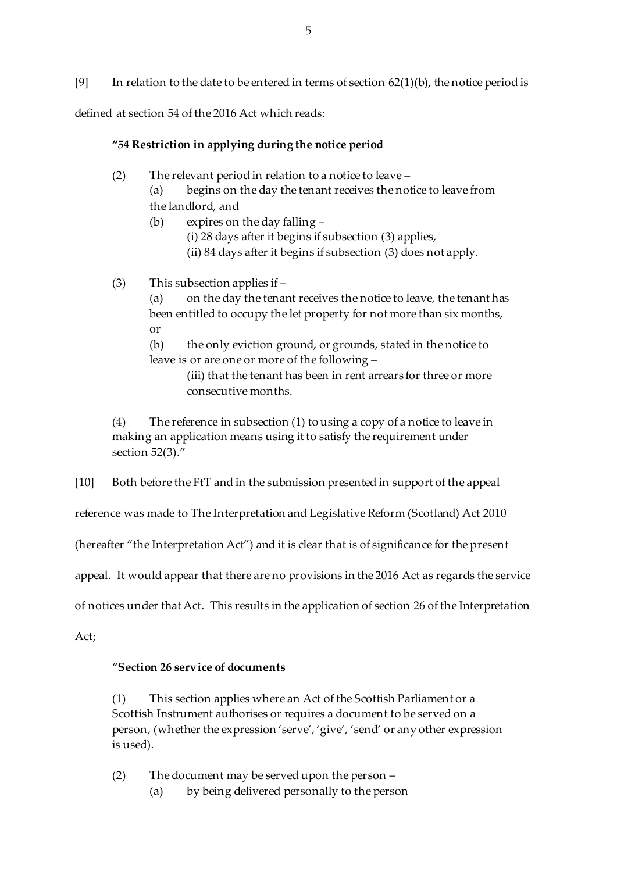[9] In relation to the date to be entered in terms of section  $62(1)(b)$ , the notice period is

defined at section 54 of the 2016 Act which reads:

### **"54 Restriction in applying during the notice period**

(2) The relevant period in relation to a notice to leave –

(a) begins on the day the tenant receives the notice to leave from the landlord, and

(b) expires on the day falling –

(i) 28 days after it begins if subsection (3) applies,

(ii) 84 days after it begins if subsection (3) does not apply.

(3) This subsection applies if –

(a) on the day the tenant receives the notice to leave, the tenant has been entitled to occupy the let property for not more than six months, or

(b) the only eviction ground, or grounds, stated in the notice to leave is or are one or more of the following –

> (iii) that the tenant has been in rent arrears for three or more consecutive months.

(4) The reference in subsection (1) to using a copy of a notice to leave in making an application means using it to satisfy the requirement under section 52(3)."

[10] Both before the FtT and in the submission presented in support of the appeal

reference was made to The Interpretation and Legislative Reform (Scotland) Act 2010

(hereafter "the Interpretation Act") and it is clear that is of significance for the present

appeal. It would appear that there are no provisions in the 2016 Act as regards the service

of notices under that Act. This results in the application of section 26 of the Interpretation

Act;

# "**Section 26 service of documents**

(1) This section applies where an Act of the Scottish Parliament or a Scottish Instrument authorises or requires a document to be served on a person, (whether the expression 'serve', 'give', 'send' or any other expression is used).

(2) The document may be served upon the person –

(a) by being delivered personally to the person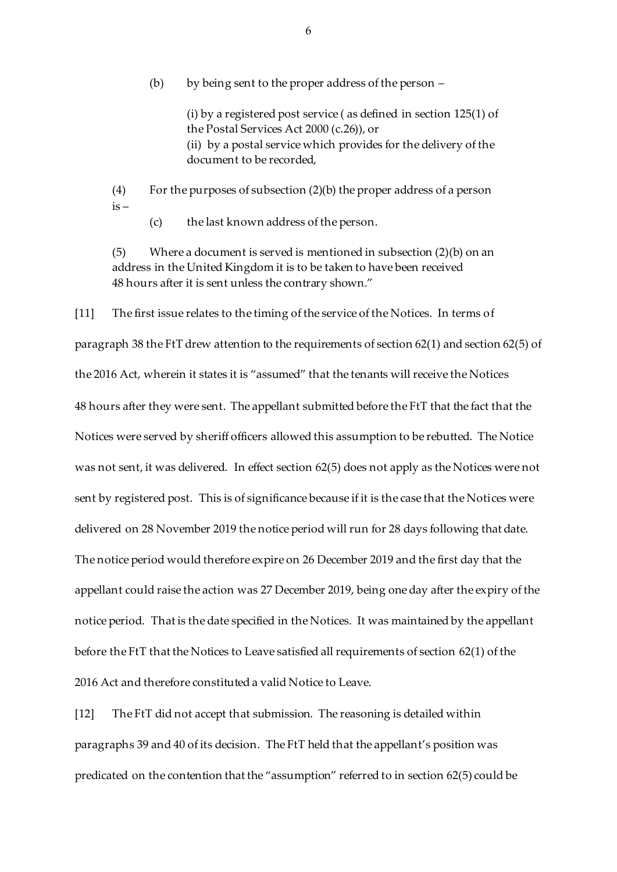(b) by being sent to the proper address of the person –

(i) by a registered post service ( as defined in section 125(1) of the Postal Services Act 2000 (c.26)), or (ii) by a postal service which provides for the delivery of the document to be recorded,

(4) For the purposes of subsection (2)(b) the proper address of a person  $is -$ 

(c) the last known address of the person.

(5) Where a document is served is mentioned in subsection (2)(b) on an address in the United Kingdom it is to be taken to have been received 48 hours after it is sent unless the contrary shown."

[11] The first issue relates to the timing of the service of the Notices. In terms of paragraph 38 the FtT drew attention to the requirements of section 62(1) and section 62(5) of the 2016 Act, wherein it states it is "assumed" that the tenants will receive the Notices 48 hours after they were sent. The appellant submitted before the FtT that the fact that the Notices were served by sheriff officers allowed this assumption to be rebutted. The Notice was not sent, it was delivered. In effect section 62(5) does not apply as the Notices were not sent by registered post. This is of significance because if it is the case that the Notices were delivered on 28 November 2019 the notice period will run for 28 days following that date. The notice period would therefore expire on 26 December 2019 and the first day that the appellant could raise the action was 27 December 2019, being one day after the expiry of the notice period. That is the date specified in the Notices. It was maintained by the appellant before the FtT that the Notices to Leave satisfied all requirements of section 62(1) of the 2016 Act and therefore constituted a valid Notice to Leave.

[12] The FtT did not accept that submission. The reasoning is detailed within paragraphs 39 and 40 of its decision. The FtT held that the appellant's position was predicated on the contention that the "assumption" referred to in section 62(5) could be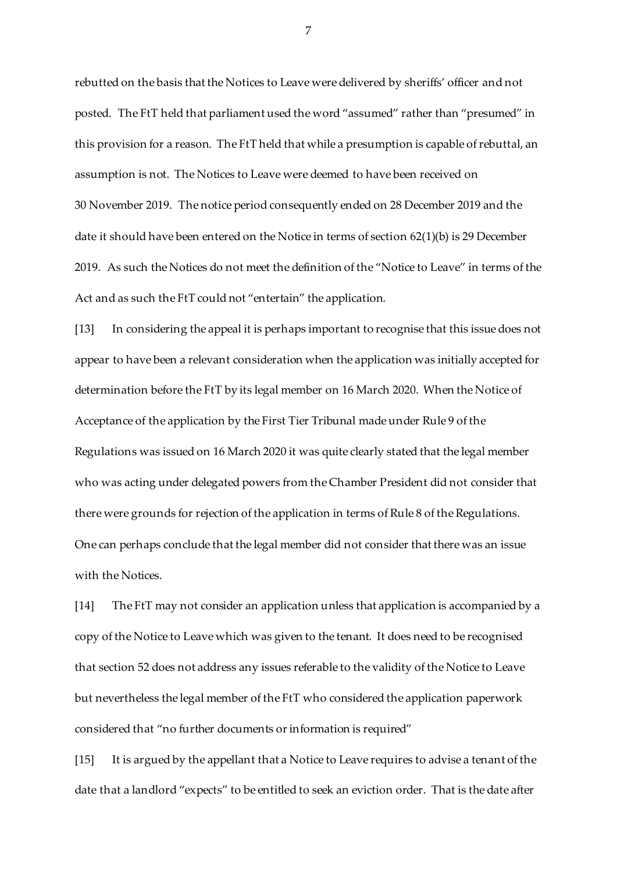rebutted on the basis that the Notices to Leave were delivered by sheriffs' officer and not posted. The FtT held that parliament used the word "assumed" rather than "presumed" in this provision for a reason. The FtT held that while a presumption is capable of rebuttal, an assumption is not. The Notices to Leave were deemed to have been received on 30 November 2019. The notice period consequently ended on 28 December 2019 and the date it should have been entered on the Notice in terms of section 62(1)(b) is 29 December 2019. As such the Notices do not meet the definition of the "Notice to Leave" in terms of the Act and as such the FtT could not "entertain" the application.

[13] In considering the appeal it is perhaps important to recognise that this issue does not appear to have been a relevant consideration when the application was initially accepted for determination before the FtT by its legal member on 16 March 2020. When the Notice of Acceptance of the application by the First Tier Tribunal made under Rule 9 of the Regulations was issued on 16 March 2020 it was quite clearly stated that the legal member who was acting under delegated powers from the Chamber President did not consider that there were grounds for rejection of the application in terms of Rule 8 of the Regulations. One can perhaps conclude that the legal member did not consider that there was an issue with the Notices.

[14] The FtT may not consider an application unless that application is accompanied by a copy of the Notice to Leave which was given to the tenant. It does need to be recognised that section 52 does not address any issues referable to the validity of the Notice to Leave but nevertheless the legal member of the FtT who considered the application paperwork considered that "no further documents or information is required"

[15] It is argued by the appellant that a Notice to Leave requires to advise a tenant of the date that a landlord "expects" to be entitled to seek an eviction order. That is the date after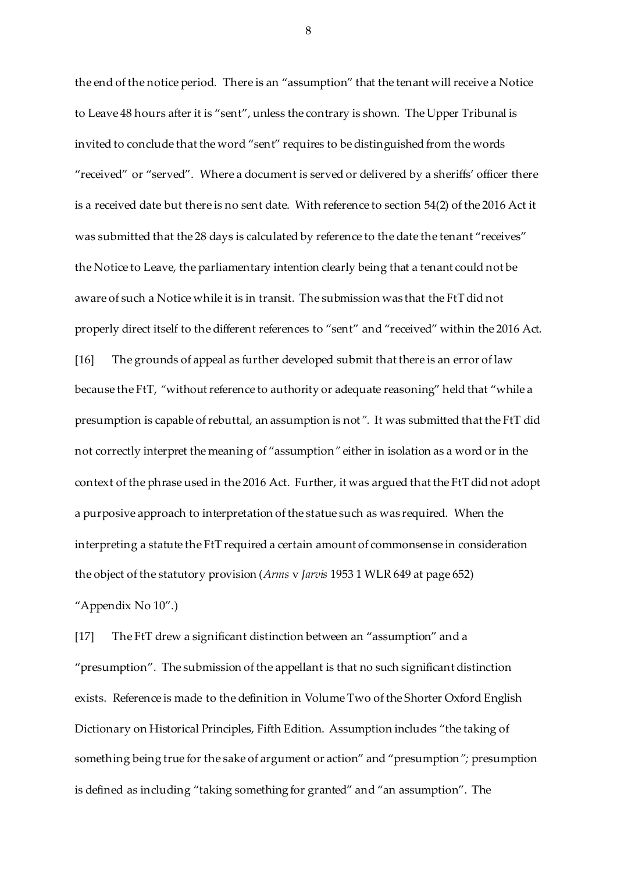the end of the notice period. There is an "assumption" that the tenant will receive a Notice to Leave 48 hours after it is "sent", unless the contrary is shown. The Upper Tribunal is invited to conclude that the word "sent" requires to be distinguished from the words "received" or "served". Where a document is served or delivered by a sheriffs' officer there is a received date but there is no sent date. With reference to section 54(2) of the 2016 Act it was submitted that the 28 days is calculated by reference to the date the tenant "receives" the Notice to Leave, the parliamentary intention clearly being that a tenant could not be aware of such a Notice while it is in transit. The submission was that the FtT did not properly direct itself to the different references to "sent" and "received" within the 2016 Act. [16] The grounds of appeal as further developed submit that there is an error of law because the FtT, *"*without reference to authority or adequate reasoning" held that "while a presumption is capable of rebuttal, an assumption is not*".* It was submitted that the FtT did not correctly interpret the meaning of "assumption*"* either in isolation as a word or in the context of the phrase used in the 2016 Act. Further, it was argued that the FtT did not adopt a purposive approach to interpretation of the statue such as was required. When the interpreting a statute the FtT required a certain amount of commonsense in consideration the object of the statutory provision (*Arms* v *Jarvis* 1953 1 WLR 649 at page 652) "Appendix No 10".)

[17] The FtT drew a significant distinction between an "assumption" and a "presumption". The submission of the appellant is that no such significant distinction exists. Reference is made to the definition in Volume Two of the Shorter Oxford English Dictionary on Historical Principles, Fifth Edition. Assumption includes "the taking of something being true for the sake of argument or action" and "presumption*";* presumption is defined as including "taking something for granted" and "an assumption". The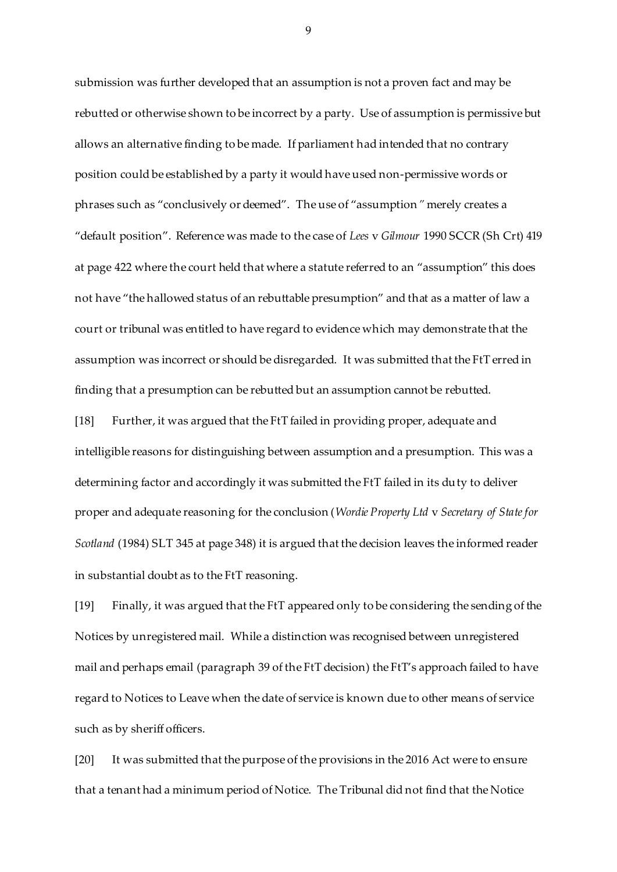submission was further developed that an assumption is not a proven fact and may be rebutted or otherwise shown to be incorrect by a party. Use of assumption is permissive but allows an alternative finding to be made. If parliament had intended that no contrary position could be established by a party it would have used non-permissive words or phrases such as "conclusively or deemed". The use of "assumption*"* merely creates a "default position". Reference was made to the case of *Lees* v *Gilmour* 1990 SCCR (Sh Crt) 419 at page 422 where the court held that where a statute referred to an "assumption" this does not have "the hallowed status of an rebuttable presumption" and that as a matter of law a court or tribunal was entitled to have regard to evidence which may demonstrate that the assumption was incorrect or should be disregarded. It was submitted that the FtT erred in finding that a presumption can be rebutted but an assumption cannot be rebutted.

[18] Further, it was argued that the FtT failed in providing proper, adequate and intelligible reasons for distinguishing between assumption and a presumption. This was a determining factor and accordingly it was submitted the FtT failed in its duty to deliver proper and adequate reasoning for the conclusion (*Wordie Property Ltd* v *Secretary of State for Scotland* (1984) SLT 345 at page 348) it is argued that the decision leaves the informed reader in substantial doubt as to the FtT reasoning.

[19] Finally, it was argued that the FtT appeared only to be considering the sending of the Notices by unregistered mail. While a distinction was recognised between unregistered mail and perhaps email (paragraph 39 of the FtT decision) the FtT's approach failed to have regard to Notices to Leave when the date of service is known due to other means of service such as by sheriff officers.

[20] It was submitted that the purpose of the provisions in the 2016 Act were to ensure that a tenant had a minimum period of Notice. The Tribunal did not find that the Notice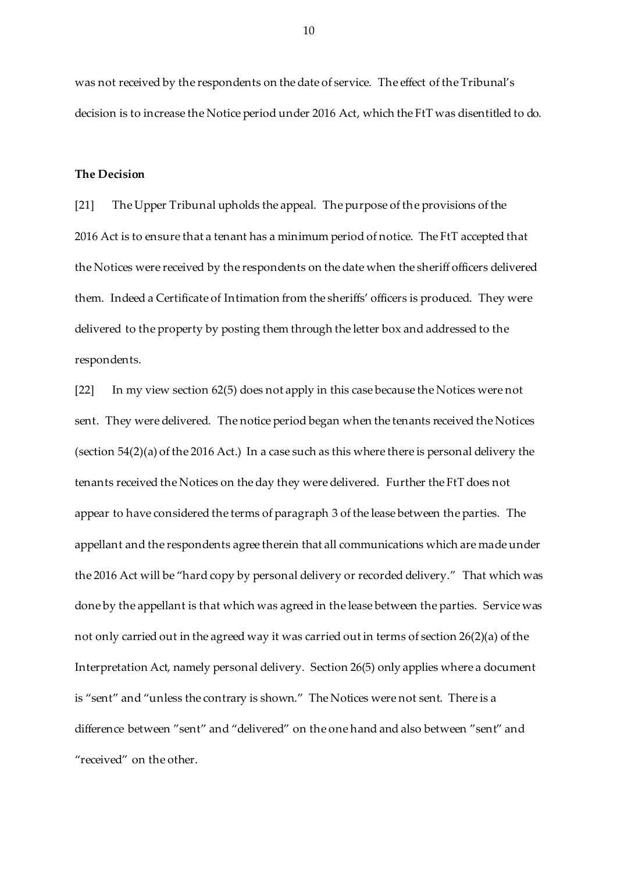was not received by the respondents on the date of service. The effect of the Tribunal's decision is to increase the Notice period under 2016 Act, which the FtT was disentitled to do.

#### **The Decision**

[21] The Upper Tribunal upholds the appeal. The purpose of the provisions of the 2016 Act is to ensure that a tenant has a minimum period of notice. The FtT accepted that the Notices were received by the respondents on the date when the sheriff officers delivered them. Indeed a Certificate of Intimation from the sheriffs' officers is produced. They were delivered to the property by posting them through the letter box and addressed to the respondents.

[22] In my view section 62(5) does not apply in this case because the Notices were not sent. They were delivered. The notice period began when the tenants received the Notices (section 54(2)(a) of the 2016 Act.) In a case such as this where there is personal delivery the tenants received the Notices on the day they were delivered. Further the FtT does not appear to have considered the terms of paragraph 3 of the lease between the parties. The appellant and the respondents agree therein that all communications which are made under the 2016 Act will be "hard copy by personal delivery or recorded delivery." That which was done by the appellant is that which was agreed in the lease between the parties. Service was not only carried out in the agreed way it was carried out in terms of section 26(2)(a) of the Interpretation Act, namely personal delivery. Section 26(5) only applies where a document is "sent" and "unless the contrary is shown." The Notices were not sent. There is a difference between "sent" and "delivered" on the one hand and also between "sent" and "received" on the other.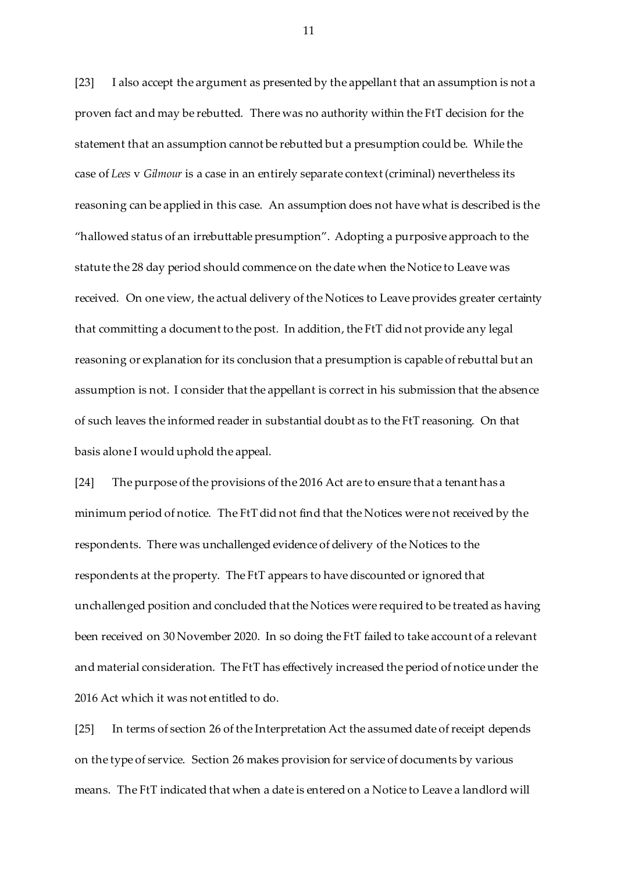[23] I also accept the argument as presented by the appellant that an assumption is not a proven fact and may be rebutted. There was no authority within the FtT decision for the statement that an assumption cannot be rebutted but a presumption could be. While the case of *Lees* v *Gilmour* is a case in an entirely separate context (criminal) nevertheless its reasoning can be applied in this case. An assumption does not have what is described is the "hallowed status of an irrebuttable presumption". Adopting a purposive approach to the statute the 28 day period should commence on the date when the Notice to Leave was received. On one view, the actual delivery of the Notices to Leave provides greater certainty that committing a document to the post. In addition, the FtT did not provide any legal reasoning or explanation for its conclusion that a presumption is capable of rebuttal but an assumption is not. I consider that the appellant is correct in his submission that the absence of such leaves the informed reader in substantial doubt as to the FtT reasoning. On that basis alone I would uphold the appeal.

[24] The purpose of the provisions of the 2016 Act are to ensure that a tenant has a minimum period of notice. The FtT did not find that the Notices were not received by the respondents. There was unchallenged evidence of delivery of the Notices to the respondents at the property. The FtT appears to have discounted or ignored that unchallenged position and concluded that the Notices were required to be treated as having been received on 30 November 2020. In so doing the FtT failed to take account of a relevant and material consideration. The FtT has effectively increased the period of notice under the 2016 Act which it was not entitled to do.

[25] In terms of section 26 of the Interpretation Act the assumed date of receipt depends on the type of service. Section 26 makes provision for service of documents by various means. The FtT indicated that when a date is entered on a Notice to Leave a landlord will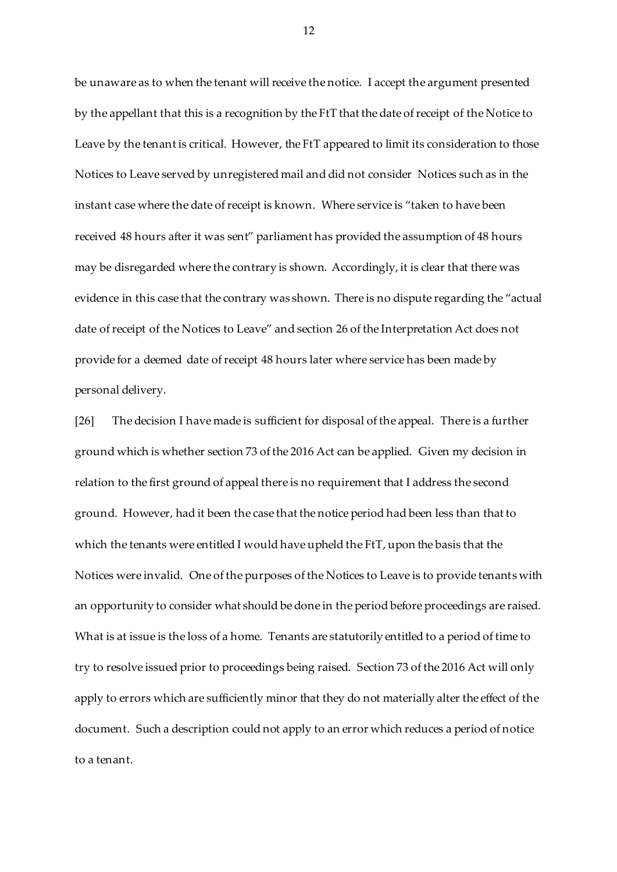be unaware as to when the tenant will receive the notice. I accept the argument presented by the appellant that this is a recognition by the FtT that the date of receipt of the Notice to Leave by the tenant is critical. However, the FtT appeared to limit its consideration to those Notices to Leave served by unregistered mail and did not consider Notices such as in the instant case where the date of receipt is known. Where service is "taken to have been received 48 hours after it was sent" parliament has provided the assumption of 48 hours may be disregarded where the contrary is shown. Accordingly, it is clear that there was evidence in this case that the contrary was shown. There is no dispute regarding the "actual date of receipt of the Notices to Leave" and section 26 of the Interpretation Act does not provide for a deemed date of receipt 48 hours later where service has been made by personal delivery.

[26] The decision I have made is sufficient for disposal of the appeal. There is a further ground which is whether section 73 of the 2016 Act can be applied. Given my decision in relation to the first ground of appeal there is no requirement that I address the second ground. However, had it been the case that the notice period had been less than that to which the tenants were entitled I would have upheld the FtT, upon the basis that the Notices were invalid. One of the purposes of the Notices to Leave is to provide tenants with an opportunity to consider what should be done in the period before proceedings are raised. What is at issue is the loss of a home. Tenants are statutorily entitled to a period of time to try to resolve issued prior to proceedings being raised. Section 73 of the 2016 Act will only apply to errors which are sufficiently minor that they do not materially alter the effect of the document. Such a description could not apply to an error which reduces a period of notice to a tenant.